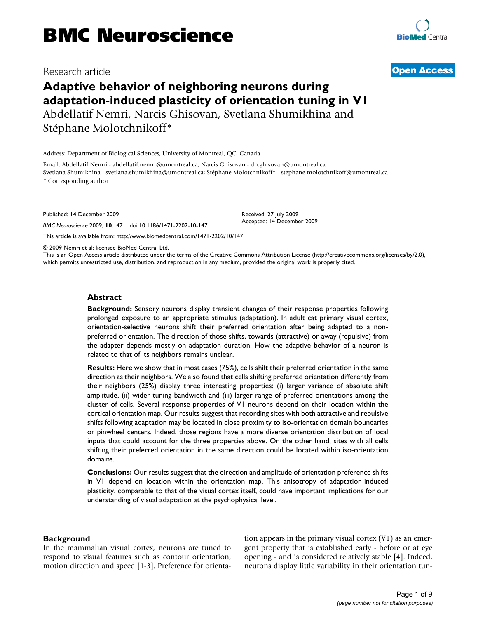# Research article **[Open Access](http://www.biomedcentral.com/info/about/charter/)**

# **Adaptive behavior of neighboring neurons during adaptation-induced plasticity of orientation tuning in V1** Abdellatif Nemri, Narcis Ghisovan, Svetlana Shumikhina and Stéphane Molotchnikoff\*

Address: Department of Biological Sciences, University of Montreal, QC, Canada

Email: Abdellatif Nemri - abdellatif.nemri@umontreal.ca; Narcis Ghisovan - dn.ghisovan@umontreal.ca; Svetlana Shumikhina - svetlana.shumikhina@umontreal.ca; Stéphane Molotchnikoff\* - stephane.molotchnikoff@umontreal.ca

\* Corresponding author

Published: 14 December 2009

*BMC Neuroscience* 2009, **10**:147 doi:10.1186/1471-2202-10-147

[This article is available from: http://www.biomedcentral.com/1471-2202/10/147](http://www.biomedcentral.com/1471-2202/10/147)

© 2009 Nemri et al; licensee BioMed Central Ltd.

This is an Open Access article distributed under the terms of the Creative Commons Attribution License [\(http://creativecommons.org/licenses/by/2.0\)](http://creativecommons.org/licenses/by/2.0), which permits unrestricted use, distribution, and reproduction in any medium, provided the original work is properly cited.

Received: 27 July 2009 Accepted: 14 December 2009

# **Abstract**

**Background:** Sensory neurons display transient changes of their response properties following prolonged exposure to an appropriate stimulus (adaptation). In adult cat primary visual cortex, orientation-selective neurons shift their preferred orientation after being adapted to a nonpreferred orientation. The direction of those shifts, towards (attractive) or away (repulsive) from the adapter depends mostly on adaptation duration. How the adaptive behavior of a neuron is related to that of its neighbors remains unclear.

**Results:** Here we show that in most cases (75%), cells shift their preferred orientation in the same direction as their neighbors. We also found that cells shifting preferred orientation differently from their neighbors (25%) display three interesting properties: (i) larger variance of absolute shift amplitude, (ii) wider tuning bandwidth and (iii) larger range of preferred orientations among the cluster of cells. Several response properties of V1 neurons depend on their location within the cortical orientation map. Our results suggest that recording sites with both attractive and repulsive shifts following adaptation may be located in close proximity to iso-orientation domain boundaries or pinwheel centers. Indeed, those regions have a more diverse orientation distribution of local inputs that could account for the three properties above. On the other hand, sites with all cells shifting their preferred orientation in the same direction could be located within iso-orientation domains.

**Conclusions:** Our results suggest that the direction and amplitude of orientation preference shifts in V1 depend on location within the orientation map. This anisotropy of adaptation-induced plasticity, comparable to that of the visual cortex itself, could have important implications for our understanding of visual adaptation at the psychophysical level.

### **Background**

In the mammalian visual cortex, neurons are tuned to respond to visual features such as contour orientation, motion direction and speed [1-3]. Preference for orientation appears in the primary visual cortex (V1) as an emergent property that is established early - before or at eye opening - and is considered relatively stable [4]. Indeed, neurons display little variability in their orientation tun-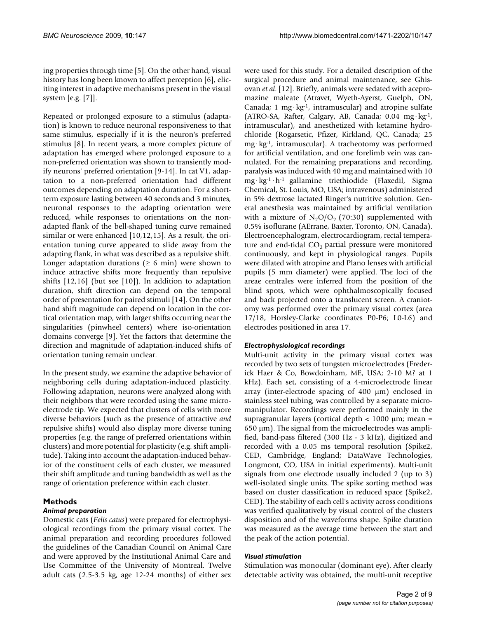ing properties through time [5]. On the other hand, visual history has long been known to affect perception [6], eliciting interest in adaptive mechanisms present in the visual system [e.g. [7]].

Repeated or prolonged exposure to a stimulus (adaptation) is known to reduce neuronal responsiveness to that same stimulus, especially if it is the neuron's preferred stimulus [8]. In recent years, a more complex picture of adaptation has emerged where prolonged exposure to a non-preferred orientation was shown to transiently modify neurons' preferred orientation [9-14]. In cat V1, adaptation to a non-preferred orientation had different outcomes depending on adaptation duration. For a shortterm exposure lasting between 40 seconds and 3 minutes, neuronal responses to the adapting orientation were reduced, while responses to orientations on the nonadapted flank of the bell-shaped tuning curve remained similar or were enhanced [10,12,15]. As a result, the orientation tuning curve appeared to slide away from the adapting flank, in what was described as a repulsive shift. Longer adaptation durations ( $\geq 6$  min) were shown to induce attractive shifts more frequently than repulsive shifts [12,16] (but see [10]). In addition to adaptation duration, shift direction can depend on the temporal order of presentation for paired stimuli [14]. On the other hand shift magnitude can depend on location in the cortical orientation map, with larger shifts occurring near the singularities (pinwheel centers) where iso-orientation domains converge [9]. Yet the factors that determine the direction and magnitude of adaptation-induced shifts of orientation tuning remain unclear.

In the present study, we examine the adaptive behavior of neighboring cells during adaptation-induced plasticity. Following adaptation, neurons were analyzed along with their neighbors that were recorded using the same microelectrode tip. We expected that clusters of cells with more diverse behaviors (such as the presence of attractive *and* repulsive shifts) would also display more diverse tuning properties (e.g. the range of preferred orientations within clusters) and more potential for plasticity (e.g. shift amplitude). Taking into account the adaptation-induced behavior of the constituent cells of each cluster, we measured their shift amplitude and tuning bandwidth as well as the range of orientation preference within each cluster.

# **Methods**

# *Animal preparation*

Domestic cats (*Felis catus*) were prepared for electrophysiological recordings from the primary visual cortex. The animal preparation and recording procedures followed the guidelines of the Canadian Council on Animal Care and were approved by the Institutional Animal Care and Use Committee of the University of Montreal. Twelve adult cats (2.5-3.5 kg, age 12-24 months) of either sex were used for this study. For a detailed description of the surgical procedure and animal maintenance, see Ghisovan *et al*. [12]. Briefly, animals were sedated with acepromazine maleate (Atravet, Wyeth-Ayerst, Guelph, ON, Canada; 1 mg·kg<sup>-1</sup>, intramuscular) and atropine sulfate (ATRO-SA, Rafter, Calgary, AB, Canada; 0.04 mg·kg-1, intramuscular), and anesthetized with ketamine hydrochloride (Rogarsetic, Pfizer, Kirkland, QC, Canada; 25 mg·kg-1, intramuscular). A tracheotomy was performed for artificial ventilation, and one forelimb vein was cannulated. For the remaining preparations and recording, paralysis was induced with 40 mg and maintained with 10 mg·kg-1·h-1 gallamine triethiodide (Flaxedil, Sigma Chemical, St. Louis, MO, USA; intravenous) administered in 5% dextrose lactated Ringer's nutritive solution. General anesthesia was maintained by artificial ventilation with a mixture of  $N_2O/O_2$  (70:30) supplemented with 0.5% isoflurane (AErrane, Baxter, Toronto, ON, Canada). Electroencephalogram, electrocardiogram, rectal temperature and end-tidal  $CO<sub>2</sub>$  partial pressure were monitored continuously, and kept in physiological ranges. Pupils were dilated with atropine and Plano lenses with artificial pupils (5 mm diameter) were applied. The loci of the areae centrales were inferred from the position of the blind spots, which were ophthalmoscopically focused and back projected onto a translucent screen. A craniotomy was performed over the primary visual cortex (area 17/18, Horsley-Clarke coordinates P0-P6; L0-L6) and electrodes positioned in area 17.

# *Electrophysiological recordings*

Multi-unit activity in the primary visual cortex was recorded by two sets of tungsten microelectrodes (Frederick Haer & Co, Bowdoinham, ME, USA; 2-10 M? at 1 kHz). Each set, consisting of a 4-microelectrode linear array (inter-electrode spacing of 400 μm) enclosed in stainless steel tubing, was controlled by a separate micromanipulator. Recordings were performed mainly in the supragranular layers (cortical depth < 1000 μm; mean = 650 μm). The signal from the microelectrodes was amplified, band-pass filtered (300 Hz - 3 kHz), digitized and recorded with a 0.05 ms temporal resolution (Spike2, CED, Cambridge, England; DataWave Technologies, Longmont, CO, USA in initial experiments). Multi-unit signals from one electrode usually included 2 (up to 3) well-isolated single units. The spike sorting method was based on cluster classification in reduced space (Spike2, CED). The stability of each cell's activity across conditions was verified qualitatively by visual control of the clusters disposition and of the waveforms shape. Spike duration was measured as the average time between the start and the peak of the action potential.

# *Visual stimulation*

Stimulation was monocular (dominant eye). After clearly detectable activity was obtained, the multi-unit receptive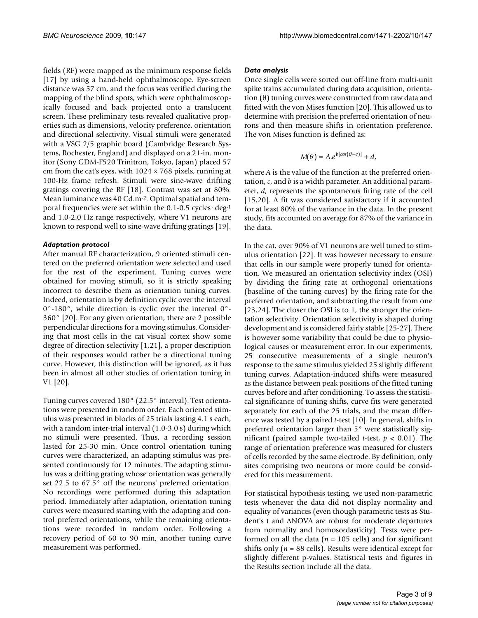fields (RF) were mapped as the minimum response fields [17] by using a hand-held ophthalmoscope. Eye-screen distance was 57 cm, and the focus was verified during the mapping of the blind spots, which were ophthalmoscopically focused and back projected onto a translucent screen. These preliminary tests revealed qualitative properties such as dimensions, velocity preference, orientation and directional selectivity. Visual stimuli were generated with a VSG 2/5 graphic board (Cambridge Research Systems, Rochester, England) and displayed on a 21-in. monitor (Sony GDM-F520 Trinitron, Tokyo, Japan) placed 57 cm from the cat's eyes, with  $1024 \times 768$  pixels, running at 100-Hz frame refresh. Stimuli were sine-wave drifting gratings covering the RF [18]. Contrast was set at 80%. Mean luminance was 40 Cd.m<sup>-2</sup>. Optimal spatial and temporal frequencies were set within the 0.1-0.5 cycles·deg-1 and 1.0-2.0 Hz range respectively, where V1 neurons are known to respond well to sine-wave drifting gratings [19].

# *Adaptation protocol*

After manual RF characterization, 9 oriented stimuli centered on the preferred orientation were selected and used for the rest of the experiment. Tuning curves were obtained for moving stimuli, so it is strictly speaking incorrect to describe them as orientation tuning curves. Indeed, orientation is by definition cyclic over the interval 0°-180°, while direction is cyclic over the interval 0°- 360° [20]. For any given orientation, there are 2 possible perpendicular directions for a moving stimulus. Considering that most cells in the cat visual cortex show some degree of direction selectivity [1,21], a proper description of their responses would rather be a directional tuning curve. However, this distinction will be ignored, as it has been in almost all other studies of orientation tuning in V1 [20].

Tuning curves covered 180° (22.5° interval). Test orientations were presented in random order. Each oriented stimulus was presented in blocks of 25 trials lasting 4.1 s each, with a random inter-trial interval (1.0-3.0 s) during which no stimuli were presented. Thus, a recording session lasted for 25-30 min. Once control orientation tuning curves were characterized, an adapting stimulus was presented continuously for 12 minutes. The adapting stimulus was a drifting grating whose orientation was generally set 22.5 to 67.5° off the neurons' preferred orientation. No recordings were performed during this adaptation period. Immediately after adaptation, orientation tuning curves were measured starting with the adapting and control preferred orientations, while the remaining orientations were recorded in random order. Following a recovery period of 60 to 90 min, another tuning curve measurement was performed.

### *Data analysis*

Once single cells were sorted out off-line from multi-unit spike trains accumulated during data acquisition, orientation (θ) tuning curves were constructed from raw data and fitted with the von Mises function [20]. This allowed us to determine with precision the preferred orientation of neurons and then measure shifts in orientation preference. The von Mises function is defined as:

$$
M(\theta) = A.e^{b[cos(\theta - c)]} + d,
$$

where *A* is the value of the function at the preferred orientation, *c*, and *b* is a width parameter. An additional parameter, *d*, represents the spontaneous firing rate of the cell [15,20]. A fit was considered satisfactory if it accounted for at least 80% of the variance in the data. In the present study, fits accounted on average for 87% of the variance in the data.

In the cat, over 90% of V1 neurons are well tuned to stimulus orientation [22]. It was however necessary to ensure that cells in our sample were properly tuned for orientation. We measured an orientation selectivity index (OSI) by dividing the firing rate at orthogonal orientations (baseline of the tuning curves) by the firing rate for the preferred orientation, and subtracting the result from one [23,24]. The closer the OSI is to 1, the stronger the orientation selectivity. Orientation selectivity is shaped during development and is considered fairly stable [25-27]. There is however some variability that could be due to physiological causes or measurement error. In our experiments, 25 consecutive measurements of a single neuron's response to the same stimulus yielded 25 slightly different tuning curves. Adaptation-induced shifts were measured as the distance between peak positions of the fitted tuning curves before and after conditioning. To assess the statistical significance of tuning shifts, curve fits were generated separately for each of the 25 trials, and the mean difference was tested by a paired *t*-test [10]. In general, shifts in preferred orientation larger than 5° were statistically significant (paired sample two-tailed *t*-test, *p* < 0.01). The range of orientation preference was measured for clusters of cells recorded by the same electrode. By definition, only sites comprising two neurons or more could be considered for this measurement.

For statistical hypothesis testing, we used non-parametric tests whenever the data did not display normality and equality of variances (even though parametric tests as Student's t and ANOVA are robust for moderate departures from normality and homoscedasticity). Tests were performed on all the data ( $n = 105$  cells) and for significant shifts only ( $n = 88$  cells). Results were identical except for slightly different p-values. Statistical tests and figures in the Results section include all the data.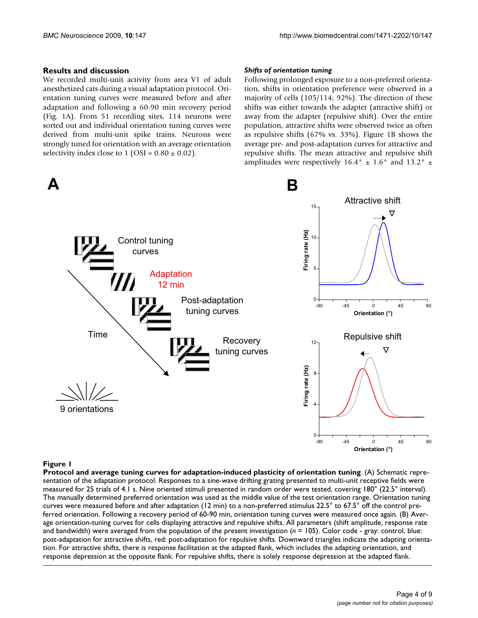### **Results and discussion**

We recorded multi-unit activity from area V1 of adult anesthetized cats during a visual adaptation protocol. Orientation tuning curves were measured before and after adaptation and following a 60-90 min recovery period (Fig. 1A). From 51 recording sites, 114 neurons were sorted out and individual orientation tuning curves were derived from multi-unit spike trains. Neurons were strongly tuned for orientation with an average orientation selectivity index close to  $1$  (OSI =  $0.80 \pm 0.02$ ).

# Δ

#### *Shifts of orientation tuning*

Following prolonged exposure to a non-preferred orientation, shifts in orientation preference were observed in a majority of cells (105/114; 92%). The direction of these shifts was either towards the adapter (attractive shift) or away from the adapter (repulsive shift). Over the entire population, attractive shifts were observed twice as often as repulsive shifts (67% vs. 33%). Figure 1B shows the average pre- and post-adaptation curves for attractive and repulsive shifts. The mean attractive and repulsive shift amplitudes were respectively  $16.4^{\circ} \pm 1.6^{\circ}$  and  $13.2^{\circ} \pm$ 



# Protocol and average tuning curves for adapta **Figure 1** tion-induced plasticity of orientation tuning

**Protocol and average tuning curves for adaptation-induced plasticity of orientation tuning**. (A) Schematic representation of the adaptation protocol. Responses to a sine-wave drifting grating presented to multi-unit receptive fields were measured for 25 trials of 4.1 s. Nine oriented stimuli presented in random order were tested, covering 180° (22.5° interval). The manually determined preferred orientation was used as the middle value of the test orientation range. Orientation tuning curves were measured before and after adaptation (12 min) to a non-preferred stimulus 22.5° to 67.5° off the control preferred orientation. Following a recovery period of 60-90 min, orientation tuning curves were measured once again. (B) Average orientation-tuning curves for cells displaying attractive and repulsive shifts. All parameters (shift amplitude, response rate and bandwidth) were averaged from the population of the present investigation (*n* = 105). Color code - gray: control, blue: post-adaptation for attractive shifts, red: post-adaptation for repulsive shifts. Downward triangles indicate the adapting orientation. For attractive shifts, there is response facilitation at the adapted flank, which includes the adapting orientation, and response depression at the opposite flank. For repulsive shifts, there is solely response depression at the adapted flank.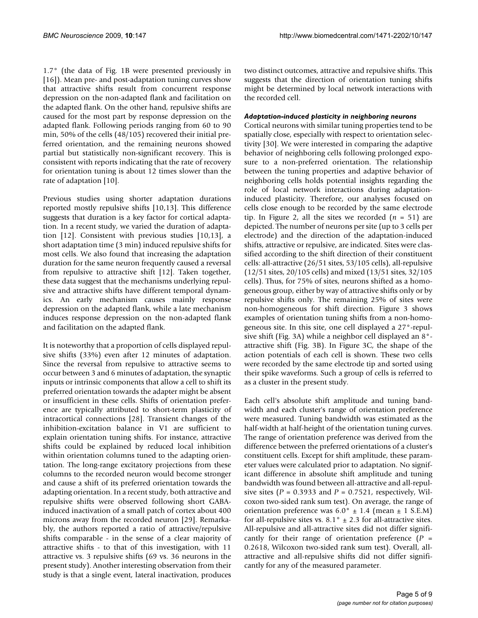1.7° (the data of Fig. 1B were presented previously in [16]). Mean pre- and post-adaptation tuning curves show that attractive shifts result from concurrent response depression on the non-adapted flank and facilitation on the adapted flank. On the other hand, repulsive shifts are caused for the most part by response depression on the adapted flank. Following periods ranging from 60 to 90 min, 50% of the cells (48/105) recovered their initial preferred orientation, and the remaining neurons showed partial but statistically non-significant recovery. This is consistent with reports indicating that the rate of recovery for orientation tuning is about 12 times slower than the rate of adaptation [10].

Previous studies using shorter adaptation durations reported mostly repulsive shifts [10,13]. This difference suggests that duration is a key factor for cortical adaptation. In a recent study, we varied the duration of adaptation [12]. Consistent with previous studies [10,13], a short adaptation time (3 min) induced repulsive shifts for most cells. We also found that increasing the adaptation duration for the same neuron frequently caused a reversal from repulsive to attractive shift [12]. Taken together, these data suggest that the mechanisms underlying repulsive and attractive shifts have different temporal dynamics. An early mechanism causes mainly response depression on the adapted flank, while a late mechanism induces response depression on the non-adapted flank and facilitation on the adapted flank.

It is noteworthy that a proportion of cells displayed repulsive shifts (33%) even after 12 minutes of adaptation. Since the reversal from repulsive to attractive seems to occur between 3 and 6 minutes of adaptation, the synaptic inputs or intrinsic components that allow a cell to shift its preferred orientation towards the adapter might be absent or insufficient in these cells. Shifts of orientation preference are typically attributed to short-term plasticity of intracortical connections [28]. Transient changes of the inhibition-excitation balance in V1 are sufficient to explain orientation tuning shifts. For instance, attractive shifts could be explained by reduced local inhibition within orientation columns tuned to the adapting orientation. The long-range excitatory projections from these columns to the recorded neuron would become stronger and cause a shift of its preferred orientation towards the adapting orientation. In a recent study, both attractive and repulsive shifts were observed following short GABAinduced inactivation of a small patch of cortex about 400 microns away from the recorded neuron [29]. Remarkably, the authors reported a ratio of attractive/repulsive shifts comparable - in the sense of a clear majority of attractive shifts - to that of this investigation, with 11 attractive vs. 3 repulsive shifts (69 vs. 36 neurons in the present study). Another interesting observation from their study is that a single event, lateral inactivation, produces

two distinct outcomes, attractive and repulsive shifts. This suggests that the direction of orientation tuning shifts might be determined by local network interactions with the recorded cell.

# *Adaptation-induced plasticity in neighboring neurons*

Cortical neurons with similar tuning properties tend to be spatially close, especially with respect to orientation selectivity [30]. We were interested in comparing the adaptive behavior of neighboring cells following prolonged exposure to a non-preferred orientation. The relationship between the tuning properties and adaptive behavior of neighboring cells holds potential insights regarding the role of local network interactions during adaptationinduced plasticity. Therefore, our analyses focused on cells close enough to be recorded by the same electrode tip. In Figure 2, all the sites we recorded (*n* = 51) are depicted. The number of neurons per site (up to 3 cells per electrode) and the direction of the adaptation-induced shifts, attractive or repulsive, are indicated. Sites were classified according to the shift direction of their constituent cells: all-attractive (26/51 sites, 53/105 cells), all-repulsive (12/51 sites, 20/105 cells) and mixed (13/51 sites, 32/105 cells). Thus, for 75% of sites, neurons shifted as a homogeneous group, either by way of attractive shifts only or by repulsive shifts only. The remaining 25% of sites were non-homogeneous for shift direction. Figure 3 shows examples of orientation tuning shifts from a non-homogeneous site. In this site, one cell displayed a 27°-repulsive shift (Fig. 3A) while a neighbor cell displayed an 8° attractive shift (Fig. 3B). In Figure 3C, the shape of the action potentials of each cell is shown. These two cells were recorded by the same electrode tip and sorted using their spike waveforms. Such a group of cells is referred to as a cluster in the present study.

Each cell's absolute shift amplitude and tuning bandwidth and each cluster's range of orientation preference were measured. Tuning bandwidth was estimated as the half-width at half-height of the orientation tuning curves. The range of orientation preference was derived from the difference between the preferred orientations of a cluster's constituent cells. Except for shift amplitude, these parameter values were calculated prior to adaptation. No significant difference in absolute shift amplitude and tuning bandwidth was found between all-attractive and all-repulsive sites (*P* = 0.3933 and *P* = 0.7521, respectively, Wilcoxon two-sided rank sum test). On average, the range of orientation preference was  $6.0^{\circ} \pm 1.4$  (mean  $\pm 1$  S.E.M) for all-repulsive sites vs.  $8.1^\circ \pm 2.3$  for all-attractive sites. All-repulsive and all-attractive sites did not differ significantly for their range of orientation preference (*P* = 0.2618, Wilcoxon two-sided rank sum test). Overall, allattractive and all-repulsive shifts did not differ significantly for any of the measured parameter.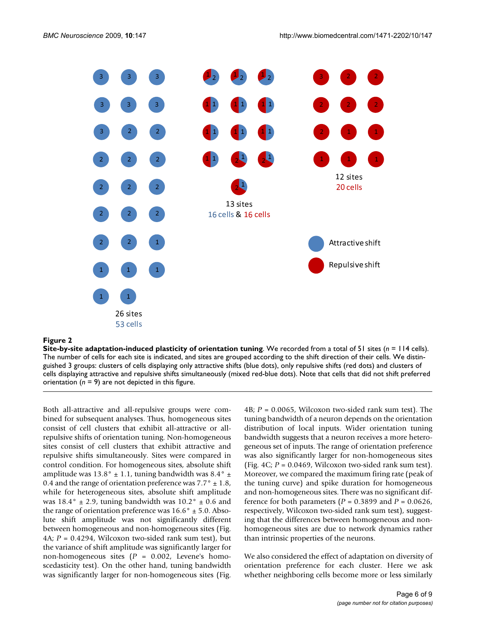

### **Figure 2**

**Site-by-site adaptation-induced plasticity of orientation tuning**. We recorded from a total of 51 sites (*n* = 114 cells). The number of cells for each site is indicated, and sites are grouped according to the shift direction of their cells. We distinguished 3 groups: clusters of cells displaying only attractive shifts (blue dots), only repulsive shifts (red dots) and clusters of cells displaying attractive and repulsive shifts simultaneously (mixed red-blue dots). Note that cells that did not shift preferred orientation  $(n = 9)$  are not depicted in this figure.

Both all-attractive and all-repulsive groups were combined for subsequent analyses. Thus, homogeneous sites consist of cell clusters that exhibit all-attractive or allrepulsive shifts of orientation tuning. Non-homogeneous sites consist of cell clusters that exhibit attractive and repulsive shifts simultaneously. Sites were compared in control condition. For homogeneous sites, absolute shift amplitude was 13.8°  $\pm$  1.1, tuning bandwidth was 8.4°  $\pm$ 0.4 and the range of orientation preference was  $7.7^\circ \pm 1.8$ , while for heterogeneous sites, absolute shift amplitude was  $18.4^{\circ} \pm 2.9$ , tuning bandwidth was  $10.2^{\circ} \pm 0.6$  and the range of orientation preference was  $16.6^\circ \pm 5.0$ . Absolute shift amplitude was not significantly different between homogeneous and non-homogeneous sites (Fig. 4A; *P* = 0.4294, Wilcoxon two-sided rank sum test), but the variance of shift amplitude was significantly larger for non-homogeneous sites (*P* = 0.002, Levene's homoscedasticity test). On the other hand, tuning bandwidth was significantly larger for non-homogeneous sites (Fig.

4B; *P* = 0.0065, Wilcoxon two-sided rank sum test). The tuning bandwidth of a neuron depends on the orientation distribution of local inputs. Wider orientation tuning bandwidth suggests that a neuron receives a more heterogeneous set of inputs. The range of orientation preference was also significantly larger for non-homogeneous sites (Fig.  $4C$ ;  $P = 0.0469$ , Wilcoxon two-sided rank sum test). Moreover, we compared the maximum firing rate (peak of the tuning curve) and spike duration for homogeneous and non-homogeneous sites. There was no significant difference for both parameters (*P* = 0.3899 and *P* = 0.0626, respectively, Wilcoxon two-sided rank sum test), suggesting that the differences between homogeneous and nonhomogeneous sites are due to network dynamics rather than intrinsic properties of the neurons.

We also considered the effect of adaptation on diversity of orientation preference for each cluster. Here we ask whether neighboring cells become more or less similarly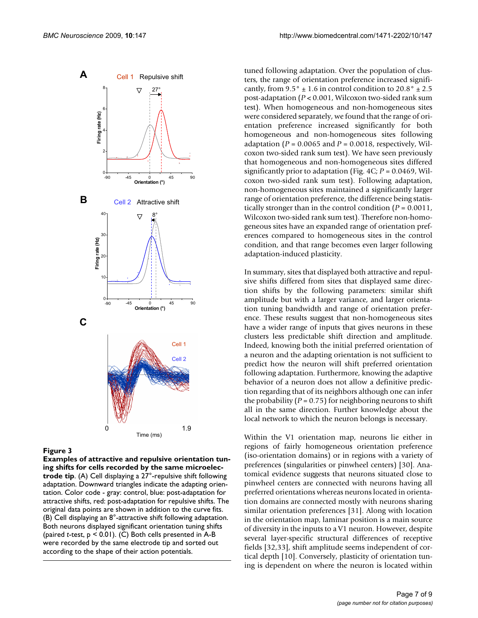

### Figure 3

**Examples of attractive and repulsive orientation tuning shifts for cells recorded by the same microelectrode tip**. (A) Cell displaying a 27°-repulsive shift following adaptation. Downward triangles indicate the adapting orientation. Color code - gray: control, blue: post-adaptation for attractive shifts, red: post-adaptation for repulsive shifts. The original data points are shown in addition to the curve fits. (B) Cell displaying an 8°-attractive shift following adaptation. Both neurons displayed significant orientation tuning shifts (paired *t*-test, p < 0.01). (C) Both cells presented in A-B were recorded by the same electrode tip and sorted out according to the shape of their action potentials.

tuned following adaptation. Over the population of clusters, the range of orientation preference increased significantly, from  $9.5^{\circ} \pm 1.6$  in control condition to  $20.8^{\circ} \pm 2.5$ post-adaptation (*P* < 0.001, Wilcoxon two-sided rank sum test). When homogeneous and non-homogeneous sites were considered separately, we found that the range of orientation preference increased significantly for both homogeneous and non-homogeneous sites following adaptation ( $P = 0.0065$  and  $P = 0.0018$ , respectively, Wilcoxon two-sided rank sum test). We have seen previously that homogeneous and non-homogeneous sites differed significantly prior to adaptation (Fig. 4C; *P* = 0.0469, Wilcoxon two-sided rank sum test). Following adaptation, non-homogeneous sites maintained a significantly larger range of orientation preference, the difference being statistically stronger than in the control condition (*P* = 0.0011, Wilcoxon two-sided rank sum test). Therefore non-homogeneous sites have an expanded range of orientation preferences compared to homogeneous sites in the control condition, and that range becomes even larger following adaptation-induced plasticity.

In summary, sites that displayed both attractive and repulsive shifts differed from sites that displayed same direction shifts by the following parameters: similar shift amplitude but with a larger variance, and larger orientation tuning bandwidth and range of orientation preference. These results suggest that non-homogeneous sites have a wider range of inputs that gives neurons in these clusters less predictable shift direction and amplitude. Indeed, knowing both the initial preferred orientation of a neuron and the adapting orientation is not sufficient to predict how the neuron will shift preferred orientation following adaptation. Furthermore, knowing the adaptive behavior of a neuron does not allow a definitive prediction regarding that of its neighbors although one can infer the probability  $(P = 0.75)$  for neighboring neurons to shift all in the same direction. Further knowledge about the local network to which the neuron belongs is necessary.

Within the V1 orientation map, neurons lie either in regions of fairly homogeneous orientation preference (iso-orientation domains) or in regions with a variety of preferences (singularities or pinwheel centers) [30]. Anatomical evidence suggests that neurons situated close to pinwheel centers are connected with neurons having all preferred orientations whereas neurons located in orientation domains are connected mostly with neurons sharing similar orientation preferences [31]. Along with location in the orientation map, laminar position is a main source of diversity in the inputs to a V1 neuron. However, despite several layer-specific structural differences of receptive fields [32,33], shift amplitude seems independent of cortical depth [10]. Conversely, plasticity of orientation tuning is dependent on where the neuron is located within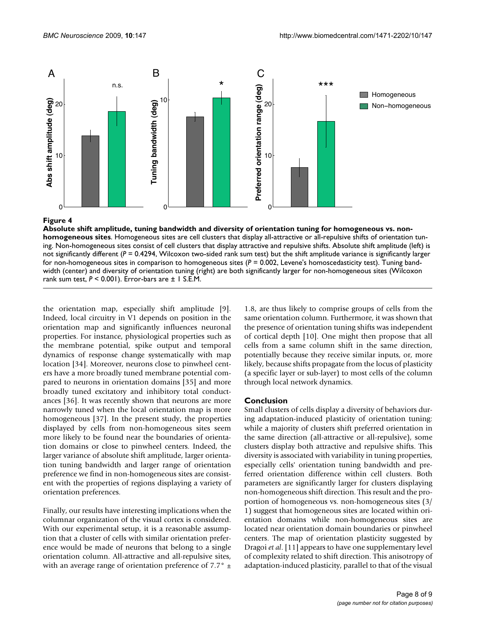

# **Figure 4** Absolute shift amplitude, tuning bandwidth and diversity of orientation tuning for homogeneous vs. no

**Absolute shift amplitude, tuning bandwidth and diversity of orientation tuning for homogeneous vs. nonhomogeneous sites**. Homogeneous sites are cell clusters that display all-attractive or all-repulsive shifts of orientation tuning. Non-homogeneous sites consist of cell clusters that display attractive and repulsive shifts. Absolute shift amplitude (left) is not significantly different ( $P = 0.4294$ , Wilcoxon two-sided rank sum test) but the shift amplitude variance is significantly larger for non-homogeneous sites in comparison to homogeneous sites (*P* = 0.002, Levene's homoscedasticity test). Tuning bandwidth (center) and diversity of orientation tuning (right) are both significantly larger for non-homogeneous sites (Wilcoxon rank sum test, *P* < 0.001). Error-bars are ± 1 S.E.M.

the orientation map, especially shift amplitude [9]. Indeed, local circuitry in V1 depends on position in the orientation map and significantly influences neuronal properties. For instance, physiological properties such as the membrane potential, spike output and temporal dynamics of response change systematically with map location [34]. Moreover, neurons close to pinwheel centers have a more broadly tuned membrane potential compared to neurons in orientation domains [35] and more broadly tuned excitatory and inhibitory total conductances [36]. It was recently shown that neurons are more narrowly tuned when the local orientation map is more homogeneous [37]. In the present study, the properties displayed by cells from non-homogeneous sites seem more likely to be found near the boundaries of orientation domains or close to pinwheel centers. Indeed, the larger variance of absolute shift amplitude, larger orientation tuning bandwidth and larger range of orientation preference we find in non-homogeneous sites are consistent with the properties of regions displaying a variety of orientation preferences.

Finally, our results have interesting implications when the columnar organization of the visual cortex is considered. With our experimental setup, it is a reasonable assumption that a cluster of cells with similar orientation preference would be made of neurons that belong to a single orientation column. All-attractive and all-repulsive sites, with an average range of orientation preference of 7.7 $\degree$   $\pm$ 

1.8, are thus likely to comprise groups of cells from the same orientation column. Furthermore, it was shown that the presence of orientation tuning shifts was independent of cortical depth [10]. One might then propose that all cells from a same column shift in the same direction, potentially because they receive similar inputs, or, more likely, because shifts propagate from the locus of plasticity (a specific layer or sub-layer) to most cells of the column through local network dynamics.

# **Conclusion**

Small clusters of cells display a diversity of behaviors during adaptation-induced plasticity of orientation tuning: while a majority of clusters shift preferred orientation in the same direction (all-attractive or all-repulsive), some clusters display both attractive and repulsive shifts. This diversity is associated with variability in tuning properties, especially cells' orientation tuning bandwidth and preferred orientation difference within cell clusters. Both parameters are significantly larger for clusters displaying non-homogeneous shift direction. This result and the proportion of homogeneous vs. non-homogeneous sites (3/ 1) suggest that homogeneous sites are located within orientation domains while non-homogeneous sites are located near orientation domain boundaries or pinwheel centers. The map of orientation plasticity suggested by Dragoi *et al*. [11] appears to have one supplementary level of complexity related to shift direction. This anisotropy of adaptation-induced plasticity, parallel to that of the visual